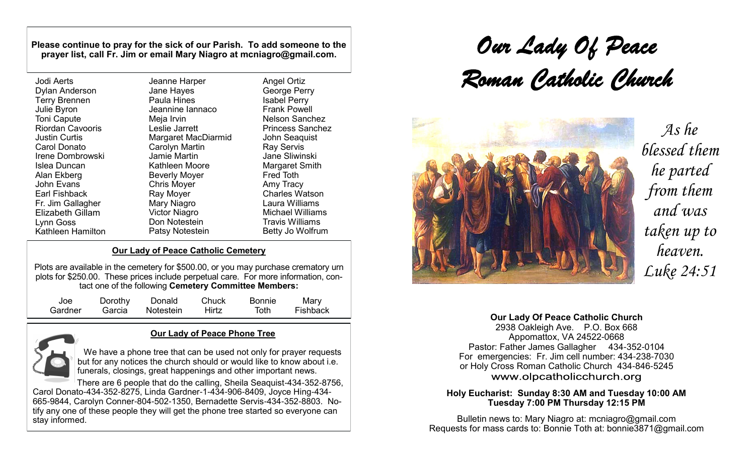**Please continue to pray for the sick of our Parish. To add someone to the prayer list, call Fr. Jim or email Mary Niagro at mcniagro@gmail.com.**

| Jodi Aerts<br><b>Dylan Anderson</b><br><b>Terry Brennen</b><br>Julie Byron<br><b>Toni Capute</b><br><b>Riordan Cavooris</b><br><b>Justin Curtis</b> | Jeanne Harper<br>Jane Hayes<br>Paula Hines<br>Jeannine lannaco<br>Meja Irvin<br>Leslie Jarrett<br>Margaret MacDiarmid | <b>Angel Ortiz</b><br>George Perry<br><b>Isabel Perry</b><br><b>Frank Powell</b><br><b>Nelson Sanchez</b><br><b>Princess Sanchez</b><br>John Seaquist |
|-----------------------------------------------------------------------------------------------------------------------------------------------------|-----------------------------------------------------------------------------------------------------------------------|-------------------------------------------------------------------------------------------------------------------------------------------------------|
| <b>Carol Donato</b>                                                                                                                                 | Carolyn Martin<br><b>Jamie Martin</b>                                                                                 | <b>Ray Servis</b>                                                                                                                                     |
| Irene Dombrowski                                                                                                                                    |                                                                                                                       | Jane Sliwinski                                                                                                                                        |
| Islea Duncan                                                                                                                                        | Kathleen Moore                                                                                                        | Margaret Smith                                                                                                                                        |
| Alan Ekberg                                                                                                                                         | <b>Beverly Moyer</b>                                                                                                  | <b>Fred Toth</b>                                                                                                                                      |
| John Evans                                                                                                                                          | <b>Chris Moyer</b>                                                                                                    | Amy Tracy                                                                                                                                             |
| Earl Fishback                                                                                                                                       | Ray Moyer                                                                                                             | <b>Charles Watson</b>                                                                                                                                 |
| Fr. Jim Gallagher                                                                                                                                   | Mary Niagro                                                                                                           | Laura Williams                                                                                                                                        |
| <b>Elizabeth Gillam</b>                                                                                                                             | <b>Victor Niagro</b>                                                                                                  | <b>Michael Williams</b>                                                                                                                               |
| Lynn Goss                                                                                                                                           | Don Notestein                                                                                                         | <b>Travis Williams</b>                                                                                                                                |
| <b>Kathleen Hamilton</b>                                                                                                                            | Patsy Notestein                                                                                                       | Betty Jo Wolfrum                                                                                                                                      |

### **Our Lady of Peace Catholic Cemetery**

Plots are available in the cemetery for \$500.00, or you may purchase crematory urn plots for \$250.00.These prices include perpetual care. For more information, contact one of the following **Cemetery Committee Members:**

| Joe     | Dorothy | Donald    | Chuck | <b>Bonnie</b> | Mary     |
|---------|---------|-----------|-------|---------------|----------|
| Gardner | Garcia  | Notestein | Hirtz | Toth          | Fishback |



### **Our Lady of Peace Phone Tree**

We have a phone tree that can be used not only for prayer requests but for any notices the church should or would like to know about i.e. funerals, closings, great happenings and other important news.

There are 6 people that do the calling, Sheila Seaquist-434-352-8756, Carol Donato-434-352-8275, Linda Gardner-1-434-906-8409, Joyce Hing-434- 665-9844, Carolyn Conner-804-502-1350, Bernadette Servis-434-352-8803. Notify any one of these people they will get the phone tree started so everyone can stay informed.

*Our Lady Of Peace Roman Catholic Church*



*As he blessed them he parted from them and was taken up to heaven. Luke 24:51*

### **Our Lady Of Peace Catholic Church**

2938 Oakleigh Ave. P.O. Box 668 Appomattox, VA 24522-0668 Pastor: Father James Gallagher 434-352-0104 For emergencies: Fr. Jim cell number: 434-238-7030 or Holy Cross Roman Catholic Church 434-846-5245 www.olpcatholicchurch.org

### **Holy Eucharist: Sunday 8:30 AM and Tuesday 10:00 AM Tuesday 7:00 PM Thursday 12:15 PM**

Bulletin news to: Mary Niagro at: mcniagro@gmail.com Requests for mass cards to: Bonnie Toth at: [bonnie3871@gmail.com](mailto:bonnie3871@gmail.com)